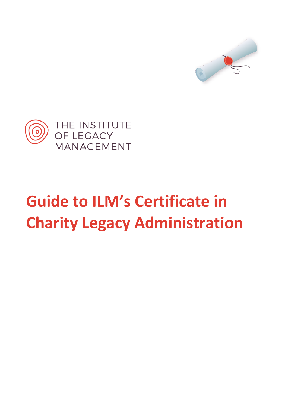



# **Guide to ILM's Certificate in Charity Legacy Administration**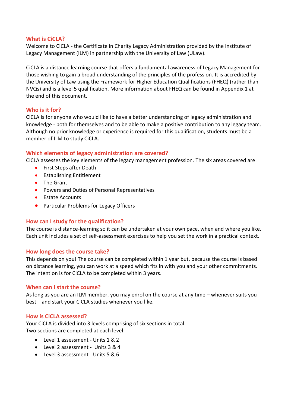#### **What is CiCLA?**

Welcome to CiCLA - the Certificate in Charity Legacy Administration provided by the Institute of Legacy Management (ILM) in partnership with the University of Law (ULaw).

CiCLA is a distance learning course that offers a fundamental awareness of Legacy Management for those wishing to gain a broad understanding of the principles of the profession. It is accredited by the University of Law using the Framework for Higher Education Qualifications (FHEQ) (rather than NVQs) and is a level 5 qualification. More information about FHEQ can be found in Appendix 1 at the end of this document.

# **Who is it for?**

CiCLA is for anyone who would like to have a better understanding of legacy administration and knowledge - both for themselves and to be able to make a positive contribution to any legacy team. Although no prior knowledge or experience is required for this qualification, students must be a member of ILM to study CiCLA.

# **Which elements of legacy administration are covered?**

CiCLA assesses the key elements of the legacy management profession. The six areas covered are:

- First Steps after Death
- Establishing Entitlement
- The Grant
- Powers and Duties of Personal Representatives
- Estate Accounts
- Particular Problems for Legacy Officers

# **How can I study for the qualification?**

The course is distance-learning so it can be undertaken at your own pace, when and where you like. Each unit includes a set of self-assessment exercises to help you set the work in a practical context.

# **How long does the course take?**

This depends on you! The course can be completed within 1 year but, because the course is based on distance learning, you can work at a speed which fits in with you and your other commitments. The intention is for CiCLA to be completed within 3 years.

#### **When can I start the course?**

As long as you are an ILM member, you may enrol on the course at any time – whenever suits you best – and start your CiCLA studies whenever you like.

#### **How is CiCLA assessed?**

Your CiCLA is divided into 3 levels comprising of six sections in total. Two sections are completed at each level:

- Level 1 assessment Units 1 & 2
- Level 2 assessment Units 3 & 4
- Level 3 assessment Units 5 & 6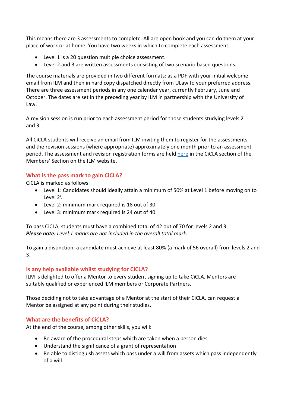This means there are 3 assessments to complete. All are open book and you can do them at your place of work or at home. You have two weeks in which to complete each assessment.

- Level 1 is a 20 question multiple choice assessment.
- Level 2 and 3 are written assessments consisting of two scenario based questions.

The course materials are provided in two different formats: as a PDF with your initial welcome email from ILM and then in hard copy dispatched directly from ULaw to your preferred address. There are three assessment periods in any one calendar year, currently February, June and October. The dates are set in the preceding year by ILM in partnership with the University of Law.

A revision session is run prior to each assessment period for those students studying levels 2 and 3.

All CiCLA students will receive an email from ILM inviting them to register for the assessments and the revision sessions (where appropriate) approximately one month prior to an assessment period. The assessment and revision registration forms are held [here](http://legacymanagement.org.uk/members-area/cicla/cicla-registration/) in the CiCLA section of the Members' Section on the ILM website.

# **What is the pass mark to gain CiCLA?**

CiCLA is marked as follows:

- Level 1: Candidates should ideally attain a minimum of 50% at Level 1 before moving on to Level 2<sup>i</sup>.
- Level 2: minimum mark required is 18 out of 30.
- Level 3: minimum mark required is 24 out of 40.

To pass CiCLA, students must have a combined total of 42 out of 70 for levels 2 and 3. *Please note: Level 1 marks are not included in the overall total mark.*

To gain a distinction, a candidate must achieve at least 80% (a mark of 56 overall) from levels 2 and 3.

# **Is any help available whilst studying for CiCLA?**

ILM is delighted to offer a Mentor to every student signing up to take CiCLA. Mentors are suitably qualified or experienced ILM members or Corporate Partners.

Those deciding not to take advantage of a Mentor at the start of their CiCLA, can request a Mentor be assigned at any point during their studies.

# **What are the benefits of CiCLA?**

At the end of the course, among other skills, you will:

- Be aware of the procedural steps which are taken when a person dies
- Understand the significance of a grant of representation
- Be able to distinguish assets which pass under a will from assets which pass independently of a will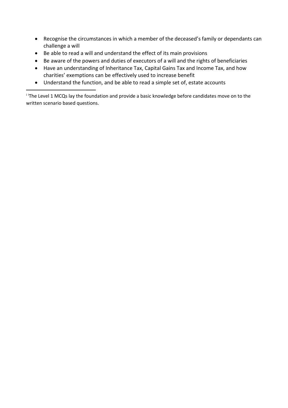- Recognise the circumstances in which a member of the deceased's family or dependants can challenge a will
- Be able to read a will and understand the effect of its main provisions
- Be aware of the powers and duties of executors of a will and the rights of beneficiaries
- Have an understanding of Inheritance Tax, Capital Gains Tax and Income Tax, and how charities' exemptions can be effectively used to increase benefit
- Understand the function, and be able to read a simple set of, estate accounts

<sup>i i</sup>The Level 1 MCQs lay the foundation and provide a basic knowledge before candidates move on to the written scenario based questions.